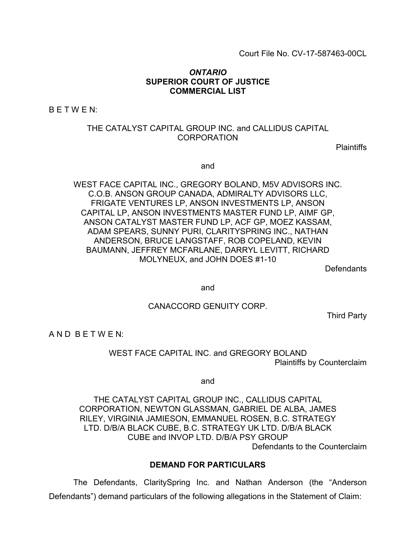### *ONTARIO* **SUPERIOR COURT OF JUSTICE COMMERCIAL LIST**

 $B E T W E N$ :

### THE CATALYST CAPITAL GROUP INC. and CALLIDUS CAPITAL CORPORATION

**Plaintiffs** 

and

WEST FACE CAPITAL INC., GREGORY BOLAND, M5V ADVISORS INC. C.O.B. ANSON GROUP CANADA, ADMIRALTY ADVISORS LLC, FRIGATE VENTURES LP, ANSON INVESTMENTS LP, ANSON CAPITAL LP, ANSON INVESTMENTS MASTER FUND LP, AIMF GP, ANSON CATALYST MASTER FUND LP, ACF GP, MOEZ KASSAM, ADAM SPEARS, SUNNY PURI, CLARITYSPRING INC., NATHAN ANDERSON, BRUCE LANGSTAFF, ROB COPELAND, KEVIN BAUMANN, JEFFREY MCFARLANE, DARRYL LEVITT, RICHARD MOLYNEUX, and JOHN DOES #1-10

**Defendants** 

and

CANACCORD GENUITY CORP.

Third Party

A N D B E T W E N:

WEST FACE CAPITAL INC. and GREGORY BOLAND Plaintiffs by Counterclaim

and

THE CATALYST CAPITAL GROUP INC., CALLIDUS CAPITAL CORPORATION, NEWTON GLASSMAN, GABRIEL DE ALBA, JAMES RILEY, VIRGINIA JAMIESON, EMMANUEL ROSEN, B.C. STRATEGY LTD. D/B/A BLACK CUBE, B.C. STRATEGY UK LTD. D/B/A BLACK CUBE and INVOP LTD. D/B/A PSY GROUP Defendants to the Counterclaim

#### **DEMAND FOR PARTICULARS**

The Defendants, ClaritySpring Inc. and Nathan Anderson (the "Anderson Defendants") demand particulars of the following allegations in the Statement of Claim: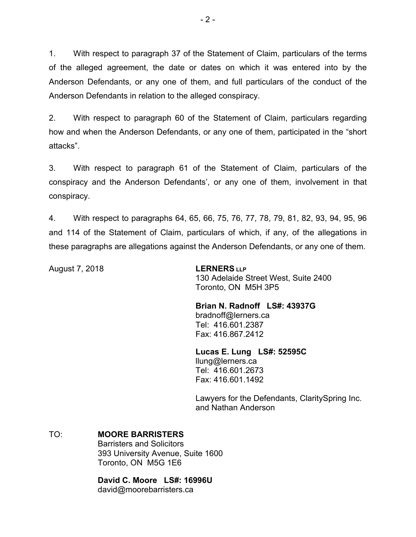1. With respect to paragraph 37 of the Statement of Claim, particulars of the terms of the alleged agreement, the date or dates on which it was entered into by the Anderson Defendants, or any one of them, and full particulars of the conduct of the Anderson Defendants in relation to the alleged conspiracy.

2. With respect to paragraph 60 of the Statement of Claim, particulars regarding how and when the Anderson Defendants, or any one of them, participated in the "short attacks".

3. With respect to paragraph 61 of the Statement of Claim, particulars of the conspiracy and the Anderson Defendants', or any one of them, involvement in that conspiracy.

4. With respect to paragraphs 64, 65, 66, 75, 76, 77, 78, 79, 81, 82, 93, 94, 95, 96 and 114 of the Statement of Claim, particulars of which, if any, of the allegations in these paragraphs are allegations against the Anderson Defendants, or any one of them.

August 7, 2018 **LERNERS LLP**

130 Adelaide Street West, Suite 2400 Toronto, ON M5H 3P5

**Brian N. Radnoff LS#: 43937G** bradnoff@lerners.ca Tel: 416.601.2387 Fax: 416.867.2412

**Lucas E. Lung LS#: 52595C** llung@lerners.ca Tel: 416.601.2673 Fax: 416.601.1492

Lawyers for the Defendants, ClaritySpring Inc. and Nathan Anderson

### TO: **MOORE BARRISTERS**

Barristers and Solicitors 393 University Avenue, Suite 1600 Toronto, ON M5G 1E6

**David C. Moore LS#: 16996U**

david@moorebarristers.ca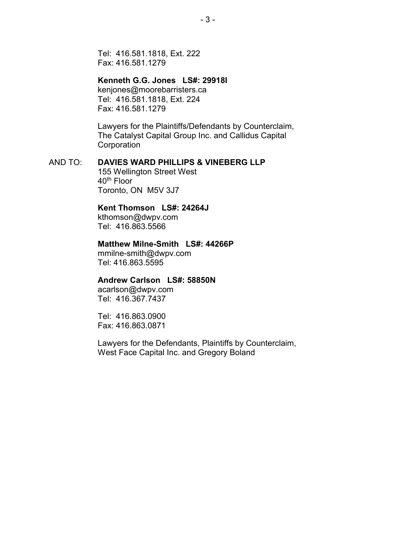Tel: 416.581.1818, Ext. 222 Fax: 416.581.1279

### **Kenneth G.G. Jones LS#: 29918I**

kenjones@moorebarristers.ca Tel: 416.581.1818, Ext. 224 Fax: 416.581.1279

Lawyers for the Plaintiffs/Defendants by Counterclaim, The Catalyst Capital Group Inc. and Callidus Capital **Corporation** 

### AND TO: **DAVIES WARD PHILLIPS & VINEBERG LLP**

155 Wellington Street West 40th Floor Toronto, ON M5V 3J7

### **Kent Thomson LS#: 24264J**

kthomson@dwpv.com Tel: 416.863.5566

#### **Matthew Milne-Smith LS#: 44266P**

mmilne-smith@dwpv.com Tel: 416.863.5595

### **Andrew Carlson LS#: 58850N**

acarlson@dwpv.com Tel: 416.367.7437

Tel: 416.863.0900 Fax: 416.863.0871

Lawyers for the Defendants, Plaintiffs by Counterclaim, West Face Capital Inc. and Gregory Boland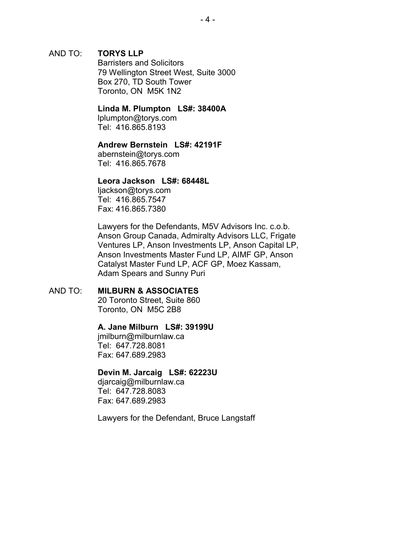### AND TO: **TORYS LLP**

Barristers and Solicitors 79 Wellington Street West, Suite 3000 Box 270, TD South Tower Toronto, ON M5K 1N2

#### **Linda M. Plumpton LS#: 38400A**

lplumpton@torys.com Tel: 416.865.8193

#### **Andrew Bernstein LS#: 42191F**

abernstein@torys.com Tel: 416.865.7678

### **Leora Jackson LS#: 68448L**

ljackson@torys.com Tel: 416.865.7547 Fax: 416.865.7380

Lawyers for the Defendants, M5V Advisors Inc. c.o.b. Anson Group Canada, Admiralty Advisors LLC, Frigate Ventures LP, Anson Investments LP, Anson Capital LP, Anson Investments Master Fund LP, AIMF GP, Anson Catalyst Master Fund LP, ACF GP, Moez Kassam, Adam Spears and Sunny Puri

### AND TO: **MILBURN & ASSOCIATES**

20 Toronto Street, Suite 860 Toronto, ON M5C 2B8

#### **A. Jane Milburn LS#: 39199U**

jmilburn@milburnlaw.ca Tel: 647.728.8081 Fax: 647.689.2983

#### **Devin M. Jarcaig LS#: 62223U**

djarcaig@milburnlaw.ca Tel: 647.728.8083 Fax: 647.689.2983

Lawyers for the Defendant, Bruce Langstaff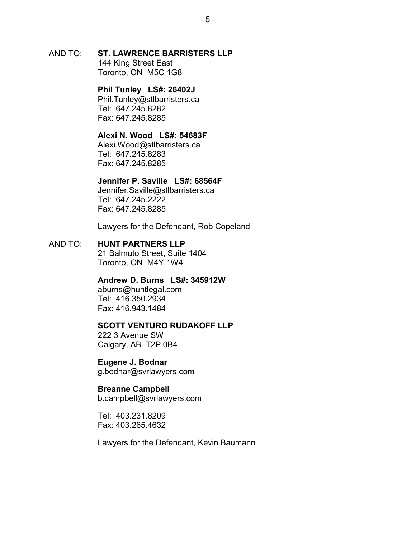AND TO: **ST. LAWRENCE BARRISTERS LLP** 144 King Street East

Toronto, ON M5C 1G8

# **Phil Tunley LS#: 26402J**

Phil.Tunley@stlbarristers.ca Tel: 647.245.8282 Fax: 647.245.8285

### **Alexi N. Wood LS#: 54683F**

Alexi.Wood@stlbarristers.ca Tel: 647.245.8283 Fax: 647.245.8285

### **Jennifer P. Saville LS#: 68564F**

Jennifer.Saville@stlbarristers.ca Tel: 647.245.2222 Fax: 647.245.8285

Lawyers for the Defendant, Rob Copeland

### AND TO: **HUNT PARTNERS LLP**

21 Balmuto Street, Suite 1404 Toronto, ON M4Y 1W4

### **Andrew D. Burns LS#: 345912W**

aburns@huntlegal.com Tel: 416.350.2934 Fax: 416.943.1484

#### **SCOTT VENTURO RUDAKOFF LLP**

222 3 Avenue SW Calgary, AB T2P 0B4

**Eugene J. Bodnar** g.bodnar@svrlawyers.com

#### **Breanne Campbell**

b.campbell@svrlawyers.com

Tel: 403.231.8209 Fax: 403.265.4632

Lawyers for the Defendant, Kevin Baumann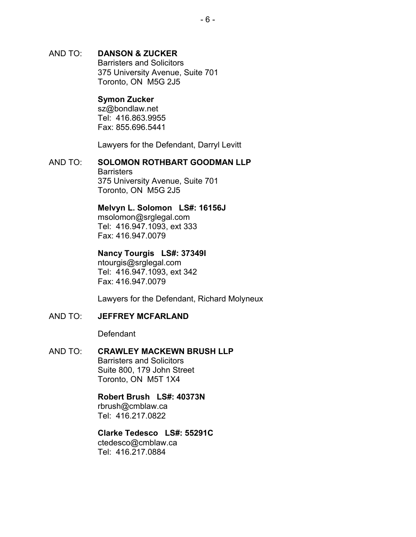# AND TO: **DANSON & ZUCKER** Barristers and Solicitors

375 University Avenue, Suite 701 Toronto, ON M5G 2J5

# **Symon Zucker**

sz@bondlaw.net Tel: 416.863.9955 Fax: 855.696.5441

Lawyers for the Defendant, Darryl Levitt

#### AND TO: **SOLOMON ROTHBART GOODMAN LLP Barristers** 375 University Avenue, Suite 701 Toronto, ON M5G 2J5

# **Melvyn L. Solomon LS#: 16156J**

msolomon@srglegal.com Tel: 416.947.1093, ext 333 Fax: 416.947.0079

# **Nancy Tourgis LS#: 37349I**

ntourgis@srglegal.com Tel: 416.947.1093, ext 342 Fax: 416.947.0079

Lawyers for the Defendant, Richard Molyneux

# AND TO: **JEFFREY MCFARLAND**

**Defendant** 

### AND TO: **CRAWLEY MACKEWN BRUSH LLP**

Barristers and Solicitors Suite 800, 179 John Street Toronto, ON M5T 1X4

# **Robert Brush LS#: 40373N**

rbrush@cmblaw.ca Tel: 416.217.0822

### **Clarke Tedesco LS#: 55291C**

ctedesco@cmblaw.ca Tel: 416.217.0884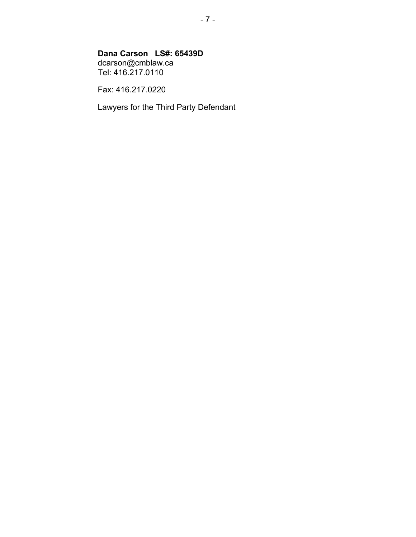# **Dana Carson LS#: 65439D**

dcarson@cmblaw.ca Tel: 416.217.0110

Fax: 416.217.0220

Lawyers for the Third Party Defendant